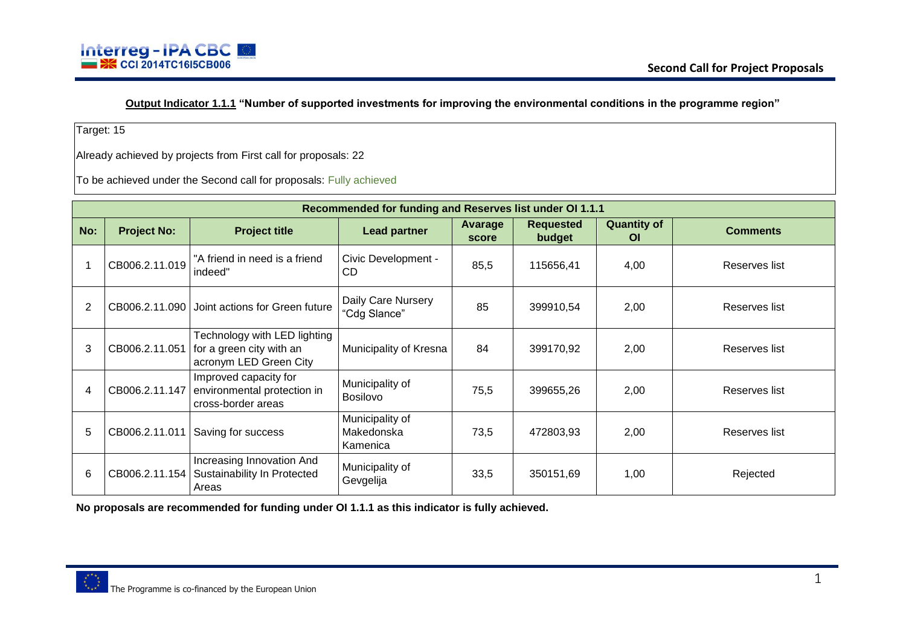

**Output Indicator 1.1.1 "Number of supported investments for improving the environmental conditions in the programme region"**

Target: 15

Already achieved by projects from First call for proposals: 22

To be achieved under the Second call for proposals: Fully achieved

|                |                    |                                                                                    | Recommended for funding and Reserves list under OI 1.1.1 |                  |                            |                                 |                 |
|----------------|--------------------|------------------------------------------------------------------------------------|----------------------------------------------------------|------------------|----------------------------|---------------------------------|-----------------|
| No:            | <b>Project No:</b> | <b>Project title</b>                                                               | <b>Lead partner</b>                                      | Avarage<br>score | <b>Requested</b><br>budget | <b>Quantity of</b><br><b>OI</b> | <b>Comments</b> |
|                | CB006.2.11.019     | "A friend in need is a friend<br>indeed"                                           | Civic Development -<br>CD                                | 85,5             | 115656,41                  | 4,00                            | Reserves list   |
| $\overline{2}$ |                    | CB006.2.11.090 Joint actions for Green future                                      | Daily Care Nursery<br>"Cdg Slance"                       | 85               | 399910,54                  | 2,00                            | Reserves list   |
| 3              | CB006.2.11.051     | Technology with LED lighting<br>for a green city with an<br>acronym LED Green City | Municipality of Kresna                                   | 84               | 399170,92                  | 2,00                            | Reserves list   |
| 4              | CB006.2.11.147     | Improved capacity for<br>environmental protection in<br>cross-border areas         | Municipality of<br><b>Bosilovo</b>                       | 75,5             | 399655,26                  | 2,00                            | Reserves list   |
| 5              | CB006.2.11.011     | Saving for success                                                                 | Municipality of<br>Makedonska<br>Kamenica                | 73,5             | 472803,93                  | 2,00                            | Reserves list   |
| 6              | CB006.2.11.154     | Increasing Innovation And<br>Sustainability In Protected<br>Areas                  | Municipality of<br>Gevgelija                             | 33,5             | 350151,69                  | 1,00                            | Rejected        |

**No proposals are recommended for funding under OI 1.1.1 as this indicator is fully achieved.**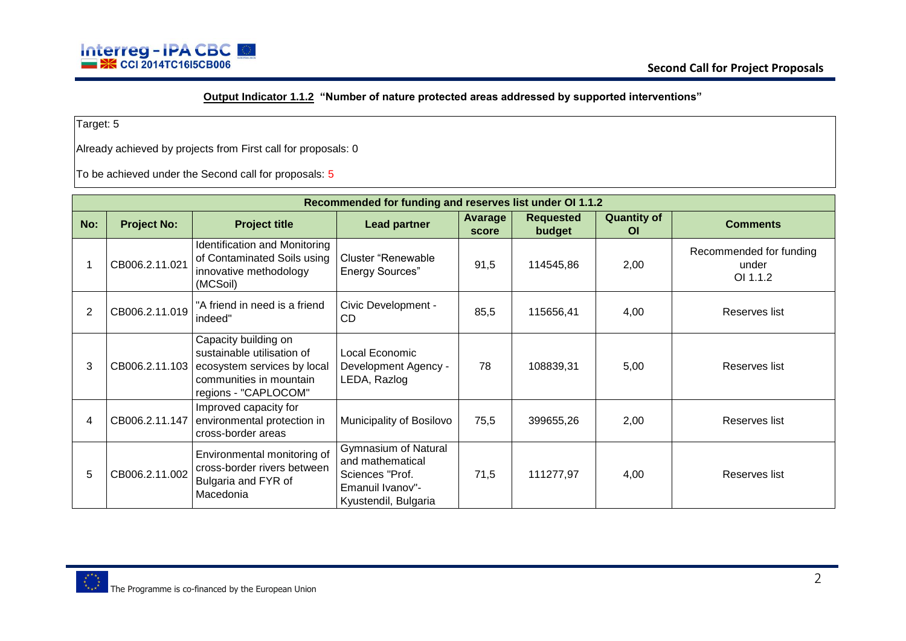

## **Output Indicator 1.1.2 "Number of nature protected areas addressed by supported interventions"**

Target: 5

Already achieved by projects from First call for proposals: 0

|                |                    |                                                                                                                                                     | Recommended for funding and reserves list under OI 1.1.2                                                |                  |                            |                                 |                                              |
|----------------|--------------------|-----------------------------------------------------------------------------------------------------------------------------------------------------|---------------------------------------------------------------------------------------------------------|------------------|----------------------------|---------------------------------|----------------------------------------------|
| No:            | <b>Project No:</b> | <b>Project title</b>                                                                                                                                | <b>Lead partner</b>                                                                                     | Avarage<br>score | <b>Requested</b><br>budget | <b>Quantity of</b><br><b>OI</b> | <b>Comments</b>                              |
|                | CB006.2.11.021     | Identification and Monitoring<br>of Contaminated Soils using<br>innovative methodology<br>(MCSoil)                                                  | Cluster "Renewable"<br><b>Energy Sources"</b>                                                           | 91,5             | 114545,86                  | 2,00                            | Recommended for funding<br>under<br>OI 1.1.2 |
| $\overline{2}$ | CB006.2.11.019     | "A friend in need is a friend<br>indeed"                                                                                                            | Civic Development -<br>CD                                                                               | 85,5             | 115656,41                  | 4,00                            | Reserves list                                |
| 3              |                    | Capacity building on<br>sustainable utilisation of<br>CB006.2.11.103 ecosystem services by local<br>communities in mountain<br>regions - "CAPLOCOM" | Local Economic<br>Development Agency -<br>LEDA, Razlog                                                  | 78               | 108839,31                  | 5,00                            | Reserves list                                |
| 4              |                    | Improved capacity for<br>CB006.2.11.147 environmental protection in<br>cross-border areas                                                           | Municipality of Bosilovo                                                                                | 75,5             | 399655,26                  | 2,00                            | Reserves list                                |
| 5              | CB006.2.11.002     | Environmental monitoring of<br>cross-border rivers between<br>Bulgaria and FYR of<br>Macedonia                                                      | Gymnasium of Natural<br>and mathematical<br>Sciences "Prof.<br>Emanuil Ivanov"-<br>Kyustendil, Bulgaria | 71,5             | 111277,97                  | 4,00                            | Reserves list                                |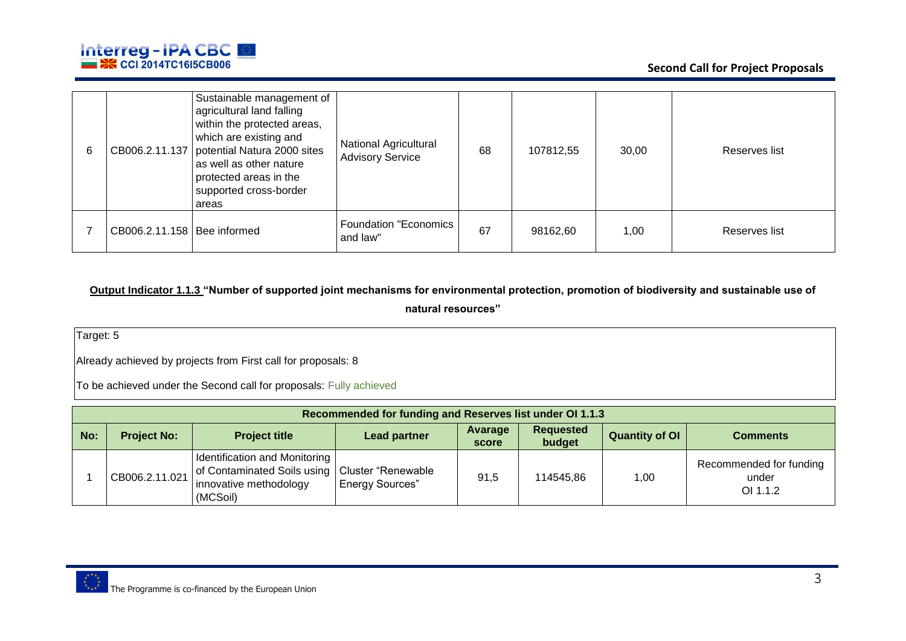

| CB006.2.11.137                | Sustainable management of<br>agricultural land falling<br>within the protected areas,<br>which are existing and<br>potential Natura 2000 sites<br>as well as other nature<br>protected areas in the<br>supported cross-border<br>areas | <b>National Agricultural</b><br><b>Advisory Service</b> | 68 | 107812,55 | 30,00 | Reserves list |
|-------------------------------|----------------------------------------------------------------------------------------------------------------------------------------------------------------------------------------------------------------------------------------|---------------------------------------------------------|----|-----------|-------|---------------|
| CB006.2.11.158   Bee informed |                                                                                                                                                                                                                                        | Foundation "Economics<br>and law"                       | 67 | 98162,60  | 1,00  | Reserves list |

## **Output Indicator 1.1.3 "Number of supported joint mechanisms for environmental protection, promotion of biodiversity and sustainable use of natural resources"**

Target: 5

Already achieved by projects from First call for proposals: 8

|     | Recommended for funding and Reserves list under OI 1.1.3 |                                                                                                                         |                        |                  |                            |                       |                                              |  |  |  |
|-----|----------------------------------------------------------|-------------------------------------------------------------------------------------------------------------------------|------------------------|------------------|----------------------------|-----------------------|----------------------------------------------|--|--|--|
| No: | <b>Project No:</b>                                       | <b>Project title</b>                                                                                                    | <b>Lead partner</b>    | Avarage<br>score | <b>Requested</b><br>budget | <b>Quantity of OI</b> | <b>Comments</b>                              |  |  |  |
|     | CB006.2.11.021                                           | Identification and Monitoring<br>of Contaminated Soils using   Cluster "Renewable<br>innovative methodology<br>(MCSoil) | <b>Energy Sources"</b> | 91,5             | 114545,86                  | 1,00                  | Recommended for funding<br>under<br>OI 1.1.2 |  |  |  |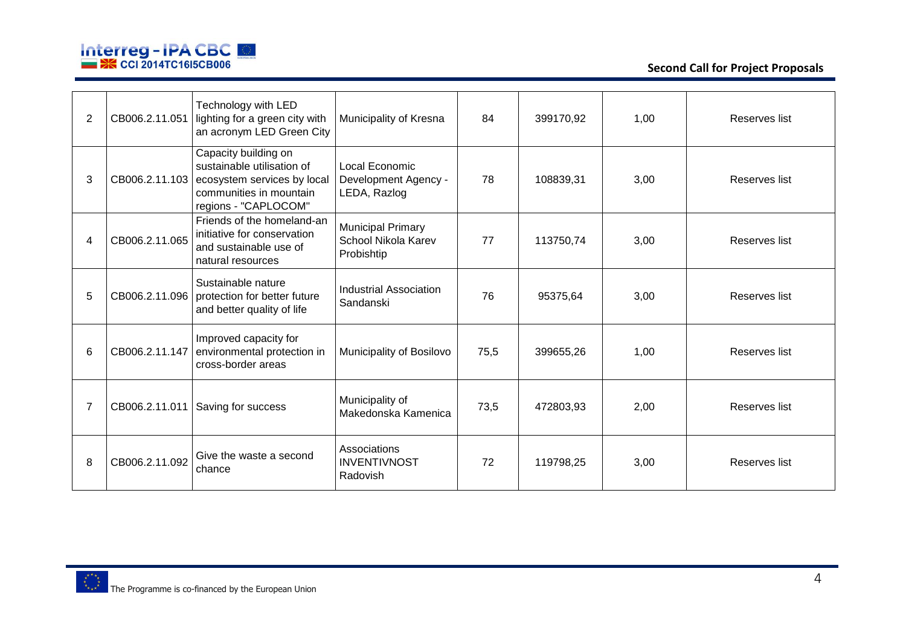

| $\overline{2}$ | CB006.2.11.051 | Technology with LED<br>lighting for a green city with<br>an acronym LED Green City                                                                  | Municipality of Kresna                                        | 84   | 399170,92 | 1,00 | Reserves list |
|----------------|----------------|-----------------------------------------------------------------------------------------------------------------------------------------------------|---------------------------------------------------------------|------|-----------|------|---------------|
| 3              |                | Capacity building on<br>sustainable utilisation of<br>CB006.2.11.103 ecosystem services by local<br>communities in mountain<br>regions - "CAPLOCOM" | Local Economic<br>Development Agency -<br>LEDA, Razlog        | 78   | 108839,31 | 3,00 | Reserves list |
| 4              | CB006.2.11.065 | Friends of the homeland-an<br>initiative for conservation<br>and sustainable use of<br>natural resources                                            | <b>Municipal Primary</b><br>School Nikola Karev<br>Probishtip | 77   | 113750,74 | 3,00 | Reserves list |
| 5              |                | Sustainable nature<br>CB006.2.11.096   protection for better future<br>and better quality of life                                                   | Industrial Association<br>Sandanski                           | 76   | 95375,64  | 3,00 | Reserves list |
| 6              |                | Improved capacity for<br>CB006.2.11.147 environmental protection in<br>cross-border areas                                                           | Municipality of Bosilovo                                      | 75,5 | 399655,26 | 1,00 | Reserves list |
|                |                | CB006.2.11.011   Saving for success                                                                                                                 | Municipality of<br>Makedonska Kamenica                        | 73,5 | 472803,93 | 2,00 | Reserves list |
| 8              | CB006.2.11.092 | Give the waste a second<br>chance                                                                                                                   | Associations<br><b>INVENTIVNOST</b><br>Radovish               | 72   | 119798,25 | 3,00 | Reserves list |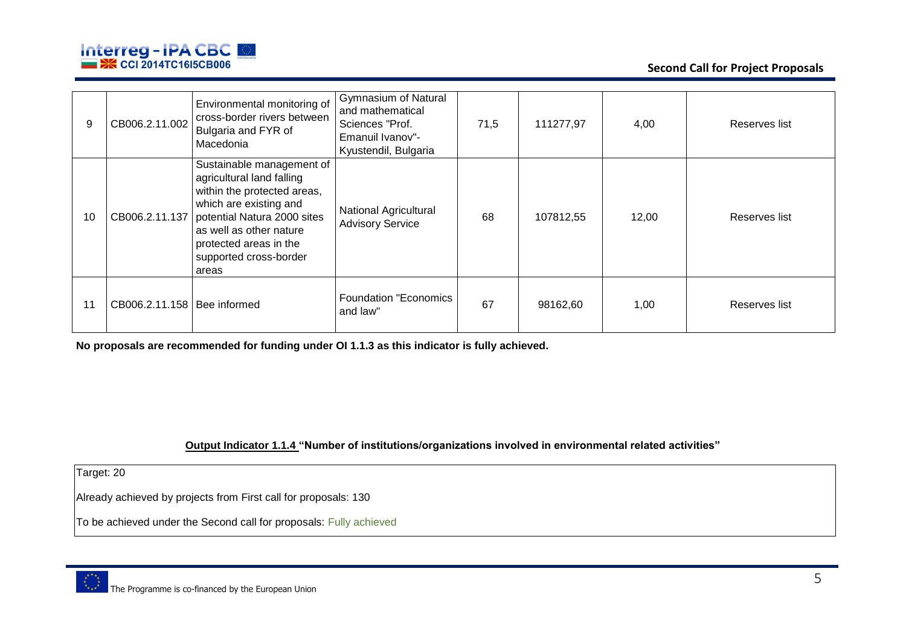

| 9  | CB006.2.11.002                | Environmental monitoring of<br>cross-border rivers between<br>Bulgaria and FYR of<br>Macedonia                                                                                                                                                          | <b>Gymnasium of Natural</b><br>and mathematical<br>Sciences "Prof.<br>Emanuil Ivanov"-<br>Kyustendil, Bulgaria | 71,5 | 111277,97 | 4,00  | Reserves list |
|----|-------------------------------|---------------------------------------------------------------------------------------------------------------------------------------------------------------------------------------------------------------------------------------------------------|----------------------------------------------------------------------------------------------------------------|------|-----------|-------|---------------|
| 10 |                               | Sustainable management of<br>agricultural land falling<br>within the protected areas,<br>which are existing and<br>CB006.2.11.137   potential Natura 2000 sites<br>as well as other nature<br>protected areas in the<br>supported cross-border<br>areas | <b>National Agricultural</b><br><b>Advisory Service</b>                                                        | 68   | 107812,55 | 12,00 | Reserves list |
| 11 | CB006.2.11.158   Bee informed |                                                                                                                                                                                                                                                         | <b>Foundation "Economics</b><br>and law"                                                                       | 67   | 98162,60  | 1,00  | Reserves list |

**No proposals are recommended for funding under OI 1.1.3 as this indicator is fully achieved.** 

**Output Indicator 1.1.4 "Number of institutions/organizations involved in environmental related activities"**

Target: 20

Already achieved by projects from First call for proposals: 130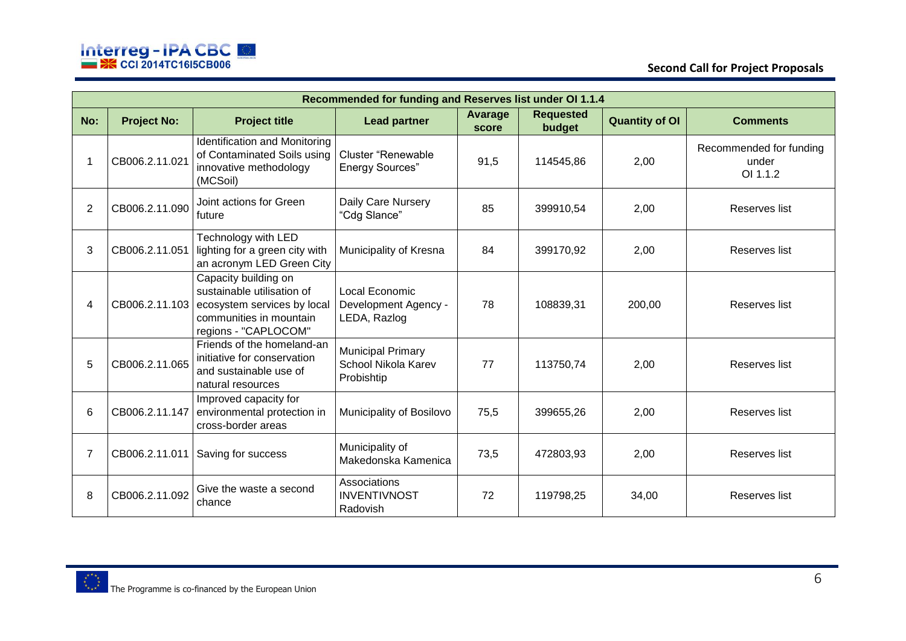

|     |                    |                                                                                                                                                     | Recommended for funding and Reserves list under OI 1.1.4      |                         |                            |                       |                                              |
|-----|--------------------|-----------------------------------------------------------------------------------------------------------------------------------------------------|---------------------------------------------------------------|-------------------------|----------------------------|-----------------------|----------------------------------------------|
| No: | <b>Project No:</b> | <b>Project title</b>                                                                                                                                | <b>Lead partner</b>                                           | <b>Avarage</b><br>score | <b>Requested</b><br>budget | <b>Quantity of OI</b> | <b>Comments</b>                              |
|     | CB006.2.11.021     | Identification and Monitoring<br>of Contaminated Soils using<br>innovative methodology<br>(MCSoil)                                                  | Cluster "Renewable<br><b>Energy Sources"</b>                  | 91,5                    | 114545,86                  | 2,00                  | Recommended for funding<br>under<br>OI 1.1.2 |
| 2   | CB006.2.11.090     | Joint actions for Green<br>future                                                                                                                   | Daily Care Nursery<br>"Cdg Slance"                            | 85                      | 399910,54                  | 2,00                  | Reserves list                                |
| 3   | CB006.2.11.051     | Technology with LED<br>lighting for a green city with<br>an acronym LED Green City                                                                  | Municipality of Kresna                                        | 84                      | 399170,92                  | 2,00                  | Reserves list                                |
| 4   |                    | Capacity building on<br>sustainable utilisation of<br>CB006.2.11.103 ecosystem services by local<br>communities in mountain<br>regions - "CAPLOCOM" | Local Economic<br>Development Agency -<br>LEDA, Razlog        | 78                      | 108839,31                  | 200,00                | Reserves list                                |
| 5   | CB006.2.11.065     | Friends of the homeland-an<br>initiative for conservation<br>and sustainable use of<br>natural resources                                            | <b>Municipal Primary</b><br>School Nikola Karev<br>Probishtip | 77                      | 113750,74                  | 2,00                  | Reserves list                                |
| 6   | CB006.2.11.147     | Improved capacity for<br>environmental protection in<br>cross-border areas                                                                          | Municipality of Bosilovo                                      | 75,5                    | 399655,26                  | 2,00                  | Reserves list                                |
| 7   | CB006.2.11.011     | Saving for success                                                                                                                                  | Municipality of<br>Makedonska Kamenica                        | 73.5                    | 472803,93                  | 2,00                  | Reserves list                                |
| 8   | CB006.2.11.092     | Give the waste a second<br>chance                                                                                                                   | Associations<br><b>INVENTIVNOST</b><br>Radovish               | 72                      | 119798,25                  | 34,00                 | Reserves list                                |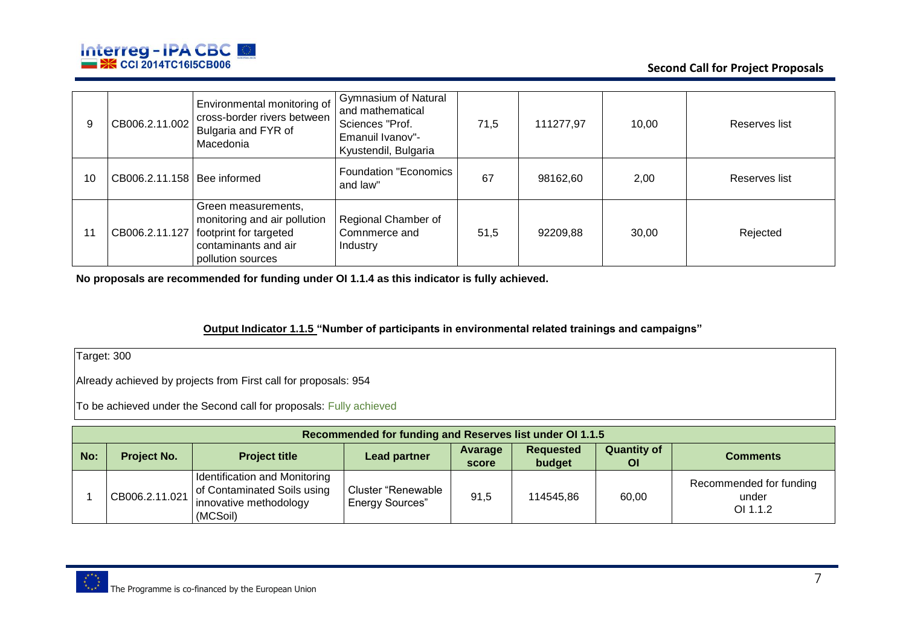

| 9  | CB006.2.11.002                | Environmental monitoring of<br>cross-border rivers between<br>Bulgaria and FYR of<br>Macedonia                                              | <b>Gymnasium of Natural</b><br>and mathematical<br>Sciences "Prof.<br>Emanuil Ivanov"-<br>Kyustendil, Bulgaria | 71,5 | 111277,97 | 10,00 | Reserves list |
|----|-------------------------------|---------------------------------------------------------------------------------------------------------------------------------------------|----------------------------------------------------------------------------------------------------------------|------|-----------|-------|---------------|
| 10 | CB006.2.11.158   Bee informed |                                                                                                                                             | <b>Foundation "Economics</b><br>and law"                                                                       | 67   | 98162,60  | 2,00  | Reserves list |
| 11 |                               | Green measurements,<br>monitoring and air pollution<br>CB006.2.11.127   footprint for targeted<br>contaminants and air<br>pollution sources | Regional Chamber of<br>Comnmerce and<br><b>Industry</b>                                                        | 51,5 | 92209.88  | 30,00 | Rejected      |

**No proposals are recommended for funding under OI 1.1.4 as this indicator is fully achieved.** 

#### **Output Indicator 1.1.5 "Number of participants in environmental related trainings and campaigns"**

Target: 300

Already achieved by projects from First call for proposals: 954

|     | Recommended for funding and Reserves list under OI 1.1.5 |                                                                                                    |                                                     |                  |                            |                                 |                                              |  |  |  |
|-----|----------------------------------------------------------|----------------------------------------------------------------------------------------------------|-----------------------------------------------------|------------------|----------------------------|---------------------------------|----------------------------------------------|--|--|--|
| No: | <b>Project No.</b>                                       | <b>Project title</b>                                                                               | <b>Lead partner</b>                                 | Avarage<br>score | <b>Requested</b><br>budget | <b>Quantity of</b><br><b>OI</b> | <b>Comments</b>                              |  |  |  |
|     | CB006.2.11.021                                           | Identification and Monitoring<br>of Contaminated Soils using<br>innovative methodology<br>(MCSoil) | <b>Cluster "Renewable</b><br><b>Energy Sources"</b> | 91,5             | 114545,86                  | 60,00                           | Recommended for funding<br>under<br>OI 1.1.2 |  |  |  |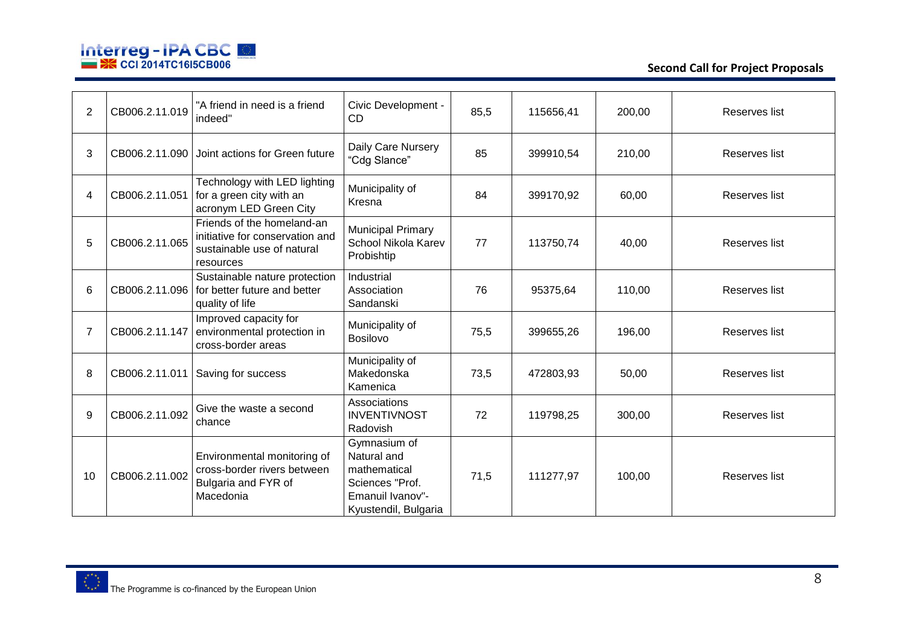

**Second Call for Project Proposals**

| $\overline{2}$ | CB006.2.11.019 | "A friend in need is a friend<br>indeed"                                                                 | Civic Development -<br>C <sub>D</sub>                                                                      | 85,5 | 115656,41 | 200,00 | Reserves list |
|----------------|----------------|----------------------------------------------------------------------------------------------------------|------------------------------------------------------------------------------------------------------------|------|-----------|--------|---------------|
| 3              | CB006.2.11.090 | Joint actions for Green future                                                                           | Daily Care Nursery<br>"Cdg Slance"                                                                         | 85   | 399910,54 | 210,00 | Reserves list |
| 4              | CB006.2.11.051 | Technology with LED lighting<br>for a green city with an<br>acronym LED Green City                       | Municipality of<br>Kresna                                                                                  | 84   | 399170,92 | 60,00  | Reserves list |
| 5              | CB006.2.11.065 | Friends of the homeland-an<br>initiative for conservation and<br>sustainable use of natural<br>resources | <b>Municipal Primary</b><br>School Nikola Karev<br>Probishtip                                              | 77   | 113750,74 | 40,00  | Reserves list |
| 6              | CB006.2.11.096 | Sustainable nature protection<br>for better future and better<br>quality of life                         | Industrial<br>Association<br>Sandanski                                                                     | 76   | 95375,64  | 110,00 | Reserves list |
| 7              | CB006.2.11.147 | Improved capacity for<br>environmental protection in<br>cross-border areas                               | Municipality of<br><b>Bosilovo</b>                                                                         | 75,5 | 399655,26 | 196,00 | Reserves list |
| 8              | CB006.2.11.011 | Saving for success                                                                                       | Municipality of<br>Makedonska<br>Kamenica                                                                  | 73,5 | 472803,93 | 50,00  | Reserves list |
| 9              | CB006.2.11.092 | Give the waste a second<br>chance                                                                        | Associations<br><b>INVENTIVNOST</b><br>Radovish                                                            | 72   | 119798,25 | 300,00 | Reserves list |
| 10             | CB006.2.11.002 | Environmental monitoring of<br>cross-border rivers between<br>Bulgaria and FYR of<br>Macedonia           | Gymnasium of<br>Natural and<br>mathematical<br>Sciences "Prof.<br>Emanuil Ivanov"-<br>Kyustendil, Bulgaria | 71,5 | 111277,97 | 100,00 | Reserves list |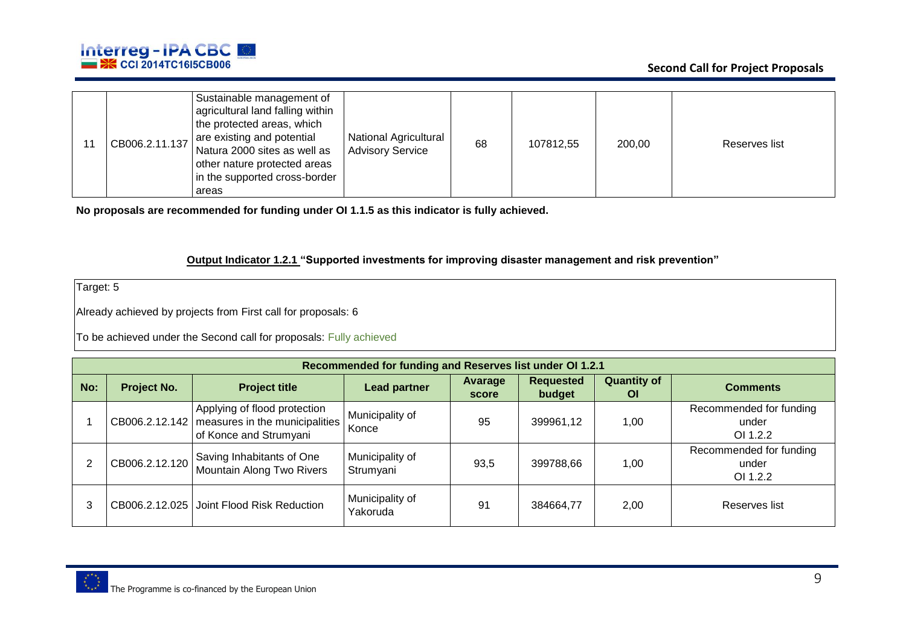

|  | CB006.2.11.137 | Sustainable management of<br>agricultural land falling within<br>the protected areas, which<br>are existing and potential<br>Natura 2000 sites as well as<br>other nature protected areas<br>in the supported cross-border<br>areas | National Agricultural<br><b>Advisory Service</b> | 68 | 107812.55 | 200,00 | Reserves list |
|--|----------------|-------------------------------------------------------------------------------------------------------------------------------------------------------------------------------------------------------------------------------------|--------------------------------------------------|----|-----------|--------|---------------|
|--|----------------|-------------------------------------------------------------------------------------------------------------------------------------------------------------------------------------------------------------------------------------|--------------------------------------------------|----|-----------|--------|---------------|

**No proposals are recommended for funding under OI 1.1.5 as this indicator is fully achieved.** 

#### **Output Indicator 1.2.1 "Supported investments for improving disaster management and risk prevention"**

Target: 5

Already achieved by projects from First call for proposals: 6

|     | Recommended for funding and Reserves list under OI 1.2.1 |                                                                                                         |                              |                  |                            |                                 |                                              |  |  |  |
|-----|----------------------------------------------------------|---------------------------------------------------------------------------------------------------------|------------------------------|------------------|----------------------------|---------------------------------|----------------------------------------------|--|--|--|
| No: | <b>Project No.</b>                                       | <b>Project title</b>                                                                                    | <b>Lead partner</b>          | Avarage<br>score | <b>Requested</b><br>budget | <b>Quantity of</b><br><b>OI</b> | <b>Comments</b>                              |  |  |  |
|     |                                                          | Applying of flood protection<br>CB006.2.12.142 measures in the municipalities<br>of Konce and Strumyani | Municipality of<br>Konce     | 95               | 399961,12                  | 1,00                            | Recommended for funding<br>under<br>OI 1.2.2 |  |  |  |
|     | CB006.2.12.120                                           | Saving Inhabitants of One<br>Mountain Along Two Rivers                                                  | Municipality of<br>Strumyani | 93,5             | 399788,66                  | 1,00                            | Recommended for funding<br>under<br>OI 1.2.2 |  |  |  |
|     |                                                          | CB006.2.12.025 Joint Flood Risk Reduction                                                               | Municipality of<br>Yakoruda  | 91               | 384664,77                  | 2,00                            | Reserves list                                |  |  |  |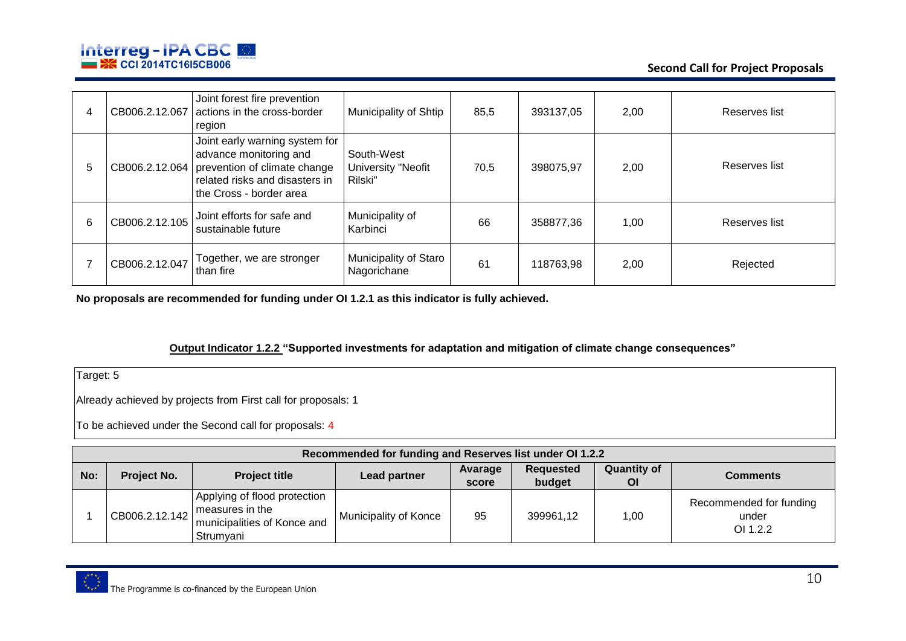

**Second Call for Project Proposals**

|   | CB006.2.12.067 | Joint forest fire prevention<br>actions in the cross-border<br>region                                                                                 | Municipality of Shtip                       | 85,5 | 393137,05 | 2,00 | Reserves list |
|---|----------------|-------------------------------------------------------------------------------------------------------------------------------------------------------|---------------------------------------------|------|-----------|------|---------------|
| b | CB006.2.12.064 | Joint early warning system for<br>advance monitoring and<br>prevention of climate change<br>related risks and disasters in<br>the Cross - border area | South-West<br>University "Neofit<br>Rilski" | 70,5 | 398075.97 | 2,00 | Reserves list |
| 6 | CB006.2.12.105 | Joint efforts for safe and<br>sustainable future                                                                                                      | Municipality of<br>Karbinci                 | 66   | 358877,36 | 1,00 | Reserves list |
|   | CB006.2.12.047 | Together, we are stronger<br>than fire                                                                                                                | Municipality of Staro<br>Nagorichane        | 61   | 118763,98 | 2,00 | Rejected      |

**No proposals are recommended for funding under OI 1.2.1 as this indicator is fully achieved.** 

**Output Indicator 1.2.2 "Supported investments for adaptation and mitigation of climate change consequences"**

Target: 5

Already achieved by projects from First call for proposals: 1

|     | Recommended for funding and Reserves list under OI 1.2.2 |                                                                                                                        |                       |                  |                            |                          |                                              |  |  |  |
|-----|----------------------------------------------------------|------------------------------------------------------------------------------------------------------------------------|-----------------------|------------------|----------------------------|--------------------------|----------------------------------------------|--|--|--|
| No: | Project No.                                              | <b>Project title</b>                                                                                                   | <b>Lead partner</b>   | Avarage<br>score | <b>Requested</b><br>budget | <b>Quantity of</b><br>ΟI | <b>Comments</b>                              |  |  |  |
|     |                                                          | Applying of flood protection<br>$\cdot$   CB006.2.12.142   measures in the<br>municipalities of Konce and<br>Strumyani | Municipality of Konce | 95               | 399961,12                  | 1,00                     | Recommended for funding<br>under<br>OI 1.2.2 |  |  |  |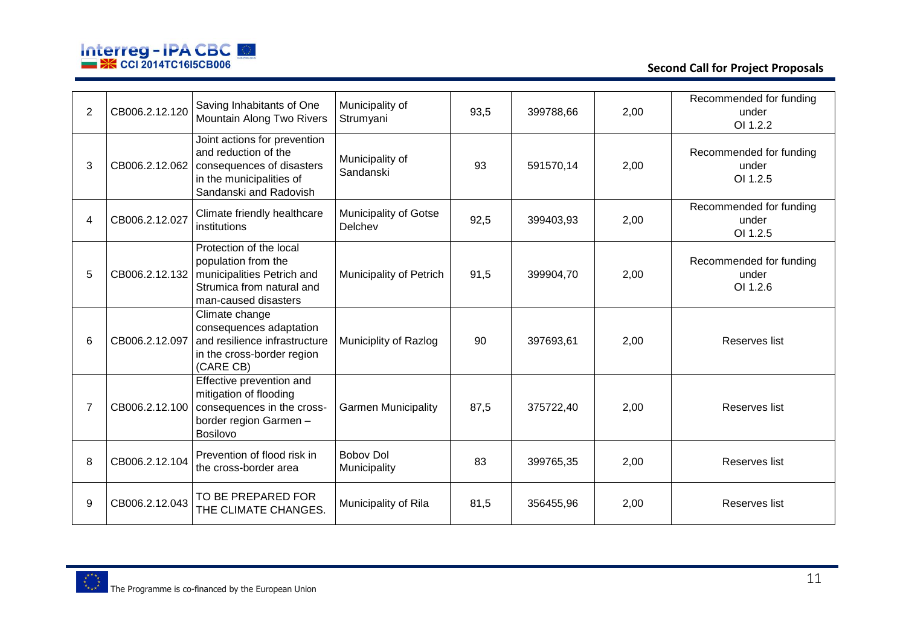

**Second Call for Project Proposals**

| $\overline{2}$ | CB006.2.12.120 | Saving Inhabitants of One<br>Mountain Along Two Rivers                                                                                                   | Municipality of<br>Strumyani     | 93,5 | 399788,66 | 2,00 | Recommended for funding<br>under<br>OI 1.2.2 |
|----------------|----------------|----------------------------------------------------------------------------------------------------------------------------------------------------------|----------------------------------|------|-----------|------|----------------------------------------------|
| 3              |                | Joint actions for prevention<br>and reduction of the<br>CB006.2.12.062   consequences of disasters<br>in the municipalities of<br>Sandanski and Radovish | Municipality of<br>Sandanski     | 93   | 591570,14 | 2,00 | Recommended for funding<br>under<br>OI 1.2.5 |
| 4              | CB006.2.12.027 | Climate friendly healthcare<br>institutions                                                                                                              | Municipality of Gotse<br>Delchev | 92,5 | 399403,93 | 2,00 | Recommended for funding<br>under<br>OI 1.2.5 |
| 5              |                | Protection of the local<br>population from the<br>CB006.2.12.132   municipalities Petrich and<br>Strumica from natural and<br>man-caused disasters       | Municipality of Petrich          | 91,5 | 399904,70 | 2,00 | Recommended for funding<br>under<br>OI 1.2.6 |
| 6              | CB006.2.12.097 | Climate change<br>consequences adaptation<br>and resilience infrastructure<br>in the cross-border region<br>(CARE CB)                                    | Municiplity of Razlog            | 90   | 397693,61 | 2,00 | Reserves list                                |
| 7              |                | Effective prevention and<br>mitigation of flooding<br>CB006.2.12.100   consequences in the cross-<br>border region Garmen -<br><b>Bosilovo</b>           | <b>Garmen Municipality</b>       | 87,5 | 375722,40 | 2,00 | Reserves list                                |
| 8              | CB006.2.12.104 | Prevention of flood risk in<br>the cross-border area                                                                                                     | <b>Bobov Dol</b><br>Municipality | 83   | 399765,35 | 2,00 | Reserves list                                |
| 9              | CB006.2.12.043 | TO BE PREPARED FOR<br>THE CLIMATE CHANGES.                                                                                                               | Municipality of Rila             | 81,5 | 356455,96 | 2,00 | Reserves list                                |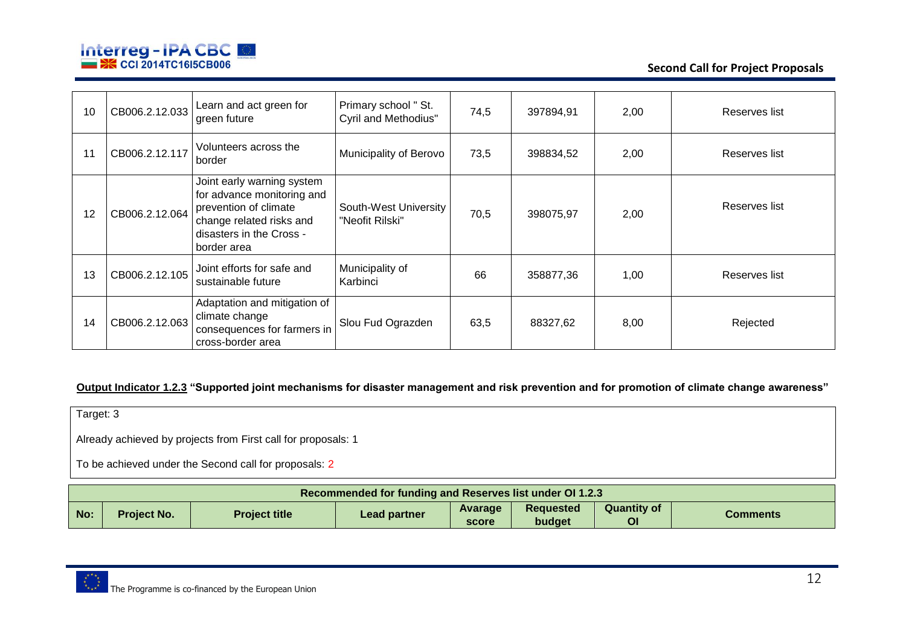

**Second Call for Project Proposals**

| 10 | CB006.2.12.033 | Learn and act green for<br>green future                                                                                                                  | Primary school " St.<br><b>Cyril and Methodius"</b> | 74,5 | 397894,91 | 2,00 | Reserves list |
|----|----------------|----------------------------------------------------------------------------------------------------------------------------------------------------------|-----------------------------------------------------|------|-----------|------|---------------|
| 11 | CB006.2.12.117 | Volunteers across the<br>border                                                                                                                          | Municipality of Berovo                              | 73,5 | 398834,52 | 2,00 | Reserves list |
| 12 | CB006.2.12.064 | Joint early warning system<br>for advance monitoring and<br>prevention of climate<br>change related risks and<br>disasters in the Cross -<br>border area | South-West University<br>"Neofit Rilski"            | 70,5 | 398075,97 | 2,00 | Reserves list |
| 13 | CB006.2.12.105 | Joint efforts for safe and<br>sustainable future                                                                                                         | Municipality of<br>Karbinci                         | 66   | 358877,36 | 1,00 | Reserves list |
| 14 | CB006.2.12.063 | Adaptation and mitigation of<br>climate change<br>consequences for farmers in<br>cross-border area                                                       | Slou Fud Ograzden                                   | 63,5 | 88327,62  | 8,00 | Rejected      |

#### **Output Indicator 1.2.3 "Supported joint mechanisms for disaster management and risk prevention and for promotion of climate change awareness"**

Target: 3

Already achieved by projects from First call for proposals: 1

|     | <b>Recommended for funding and Reserves list under OI 1.2.3</b> |                      |              |                  |                     |                          |                 |  |  |  |
|-----|-----------------------------------------------------------------|----------------------|--------------|------------------|---------------------|--------------------------|-----------------|--|--|--|
| No: | <b>Project No.</b>                                              | <b>Project title</b> | Lead partner | Avarage<br>score | Requested<br>budget | <b>Quantity of</b><br>Οl | <b>Comments</b> |  |  |  |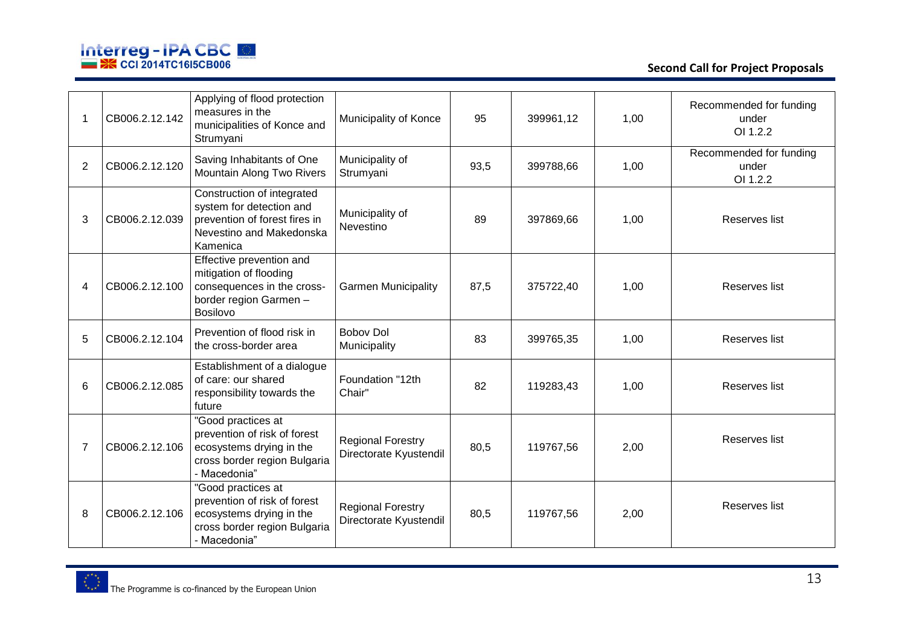

**Second Call for Project Proposals**

|   | CB006.2.12.142 | Applying of flood protection<br>measures in the<br>municipalities of Konce and<br>Strumyani                                     | Municipality of Konce                              | 95   | 399961,12 | 1,00 | Recommended for funding<br>under<br>OI 1.2.2 |
|---|----------------|---------------------------------------------------------------------------------------------------------------------------------|----------------------------------------------------|------|-----------|------|----------------------------------------------|
| 2 | CB006.2.12.120 | Saving Inhabitants of One<br>Mountain Along Two Rivers                                                                          | Municipality of<br>Strumyani                       | 93,5 | 399788,66 | 1,00 | Recommended for funding<br>under<br>OI 1.2.2 |
| 3 | CB006.2.12.039 | Construction of integrated<br>system for detection and<br>prevention of forest fires in<br>Nevestino and Makedonska<br>Kamenica | Municipality of<br>Nevestino                       | 89   | 397869,66 | 1,00 | Reserves list                                |
| 4 | CB006.2.12.100 | Effective prevention and<br>mitigation of flooding<br>consequences in the cross-<br>border region Garmen -<br>Bosilovo          | <b>Garmen Municipality</b>                         | 87,5 | 375722,40 | 1,00 | Reserves list                                |
| 5 | CB006.2.12.104 | Prevention of flood risk in<br>the cross-border area                                                                            | <b>Boboy Dol</b><br>Municipality                   | 83   | 399765,35 | 1,00 | Reserves list                                |
| 6 | CB006.2.12.085 | Establishment of a dialogue<br>of care: our shared<br>responsibility towards the<br>future                                      | Foundation "12th<br>Chair"                         | 82   | 119283,43 | 1,00 | Reserves list                                |
| 7 | CB006.2.12.106 | "Good practices at<br>prevention of risk of forest<br>ecosystems drying in the<br>cross border region Bulgaria<br>- Macedonia"  | <b>Regional Forestry</b><br>Directorate Kyustendil | 80,5 | 119767,56 | 2,00 | Reserves list                                |
| 8 | CB006.2.12.106 | "Good practices at<br>prevention of risk of forest<br>ecosystems drying in the<br>cross border region Bulgaria<br>- Macedonia"  | <b>Regional Forestry</b><br>Directorate Kyustendil | 80,5 | 119767,56 | 2,00 | Reserves list                                |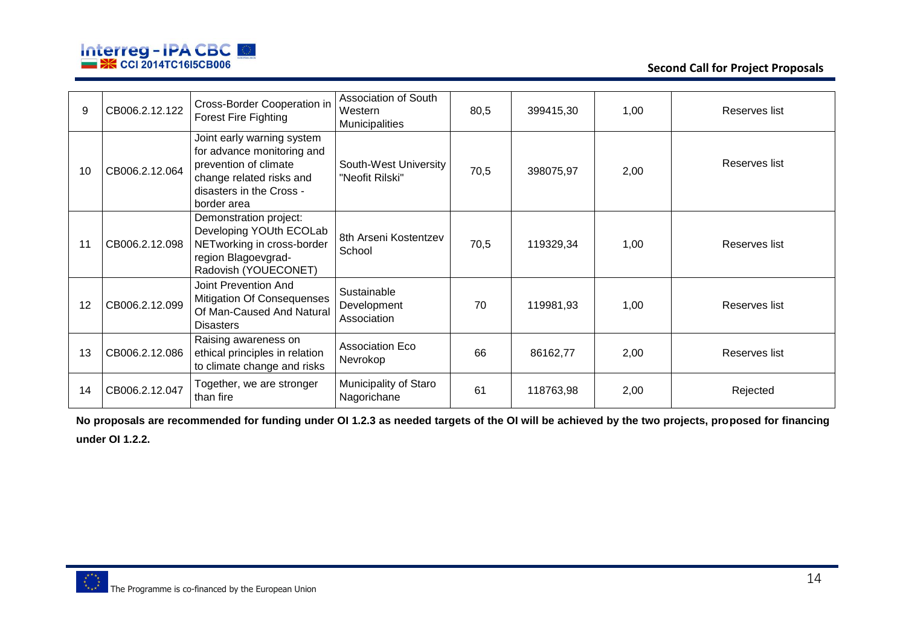

**Second Call for Project Proposals**

| 9  | CB006.2.12.122 | Cross-Border Cooperation in<br><b>Forest Fire Fighting</b>                                                                                               | Association of South<br>Western<br>Municipalities | 80,5 | 399415,30 | 1,00 | Reserves list |
|----|----------------|----------------------------------------------------------------------------------------------------------------------------------------------------------|---------------------------------------------------|------|-----------|------|---------------|
| 10 | CB006.2.12.064 | Joint early warning system<br>for advance monitoring and<br>prevention of climate<br>change related risks and<br>disasters in the Cross -<br>border area | South-West University<br>"Neofit Rilski"          | 70,5 | 398075,97 | 2,00 | Reserves list |
| 11 | CB006.2.12.098 | Demonstration project:<br>Developing YOUth ECOLab<br>NETworking in cross-border<br>region Blagoevgrad-<br>Radovish (YOUECONET)                           | 8th Arseni Kostentzev<br>School                   | 70,5 | 119329,34 | 1,00 | Reserves list |
| 12 | CB006.2.12.099 | <b>Joint Prevention And</b><br><b>Mitigation Of Consequenses</b><br>Of Man-Caused And Natural<br><b>Disasters</b>                                        | Sustainable<br>Development<br>Association         | 70   | 119981,93 | 1,00 | Reserves list |
| 13 | CB006.2.12.086 | Raising awareness on<br>ethical principles in relation<br>to climate change and risks                                                                    | <b>Association Eco</b><br>Nevrokop                | 66   | 86162,77  | 2,00 | Reserves list |
| 14 | CB006.2.12.047 | Together, we are stronger<br>than fire                                                                                                                   | Municipality of Staro<br>Nagorichane              | 61   | 118763,98 | 2,00 | Rejected      |

**No proposals are recommended for funding under OI 1.2.3 as needed targets of the OI will be achieved by the two projects, proposed for financing under OI 1.2.2.**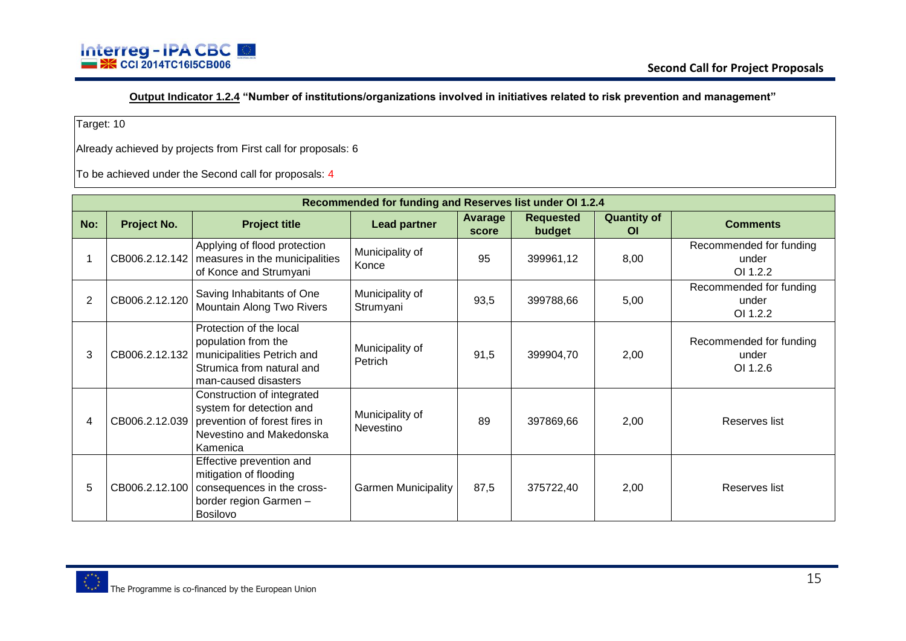**Output Indicator 1.2.4 "Number of institutions/organizations involved in initiatives related to risk prevention and management"**

Target: 10

Already achieved by projects from First call for proposals: 6

|     | Recommended for funding and Reserves list under OI 1.2.4 |                                                                                                                                                    |                              |                         |                            |                                 |                                              |  |  |  |  |
|-----|----------------------------------------------------------|----------------------------------------------------------------------------------------------------------------------------------------------------|------------------------------|-------------------------|----------------------------|---------------------------------|----------------------------------------------|--|--|--|--|
| No: | Project No.                                              | <b>Project title</b>                                                                                                                               | <b>Lead partner</b>          | <b>Avarage</b><br>score | <b>Requested</b><br>budget | <b>Quantity of</b><br><b>OI</b> | <b>Comments</b>                              |  |  |  |  |
|     |                                                          | Applying of flood protection<br>CB006.2.12.142   measures in the municipalities<br>of Konce and Strumyani                                          | Municipality of<br>Konce     | 95                      | 399961,12                  | 8,00                            | Recommended for funding<br>under<br>OI 1.2.2 |  |  |  |  |
| 2   | CB006.2.12.120                                           | Saving Inhabitants of One<br>Mountain Along Two Rivers                                                                                             | Municipality of<br>Strumyani | 93,5                    | 399788,66                  | 5,00                            | Recommended for funding<br>under<br>OI 1.2.2 |  |  |  |  |
| 3   |                                                          | Protection of the local<br>population from the<br>CB006.2.12.132   municipalities Petrich and<br>Strumica from natural and<br>man-caused disasters | Municipality of<br>Petrich   | 91,5                    | 399904,70                  | 2,00                            | Recommended for funding<br>under<br>OI 1.2.6 |  |  |  |  |
| 4   |                                                          | Construction of integrated<br>system for detection and<br>CB006.2.12.039   prevention of forest fires in<br>Nevestino and Makedonska<br>Kamenica   | Municipality of<br>Nevestino | 89                      | 397869,66                  | 2,00                            | Reserves list                                |  |  |  |  |
| 5   | CB006.2.12.100                                           | Effective prevention and<br>mitigation of flooding<br>consequences in the cross-<br>border region Garmen -<br><b>Bosilovo</b>                      | <b>Garmen Municipality</b>   | 87,5                    | 375722,40                  | 2,00                            | Reserves list                                |  |  |  |  |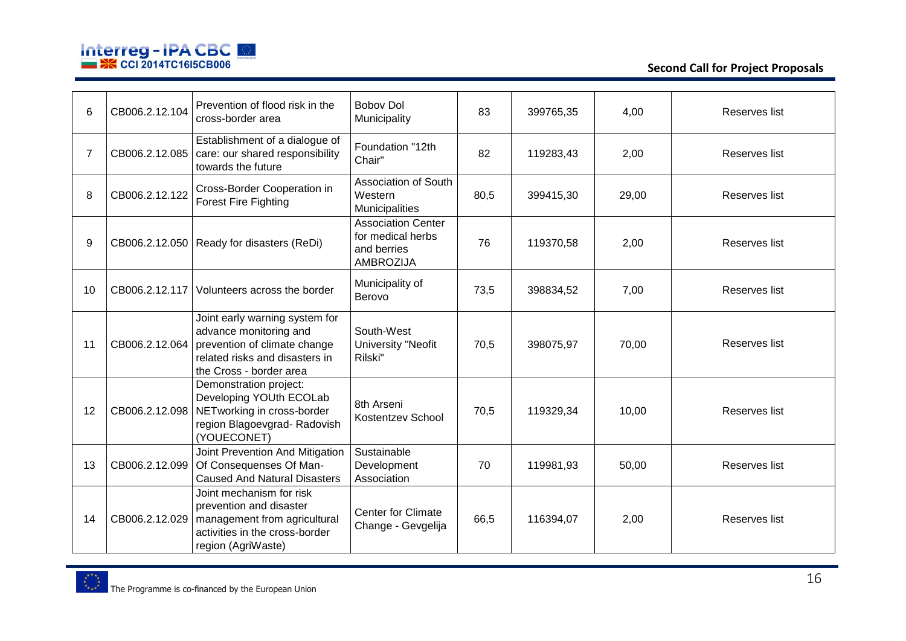

**Second Call for Project Proposals**

| 6  | CB006.2.12.104 | Prevention of flood risk in the<br>cross-border area                                                                                                  | <b>Bobov Dol</b><br>Municipality                                                  | 83   | 399765,35 | 4,00  | Reserves list |
|----|----------------|-------------------------------------------------------------------------------------------------------------------------------------------------------|-----------------------------------------------------------------------------------|------|-----------|-------|---------------|
| 7  | CB006.2.12.085 | Establishment of a dialogue of<br>care: our shared responsibility<br>towards the future                                                               | Foundation "12th<br>Chair"                                                        | 82   | 119283,43 | 2,00  | Reserves list |
| 8  | CB006.2.12.122 | Cross-Border Cooperation in<br><b>Forest Fire Fighting</b>                                                                                            | Association of South<br>Western<br>Municipalities                                 | 80,5 | 399415,30 | 29,00 | Reserves list |
| 9  |                | CB006.2.12.050 Ready for disasters (ReDi)                                                                                                             | <b>Association Center</b><br>for medical herbs<br>and berries<br><b>AMBROZIJA</b> | 76   | 119370,58 | 2,00  | Reserves list |
| 10 | CB006.2.12.117 | Volunteers across the border                                                                                                                          | Municipality of<br>Berovo                                                         | 73,5 | 398834,52 | 7,00  | Reserves list |
| 11 | CB006.2.12.064 | Joint early warning system for<br>advance monitoring and<br>prevention of climate change<br>related risks and disasters in<br>the Cross - border area | South-West<br><b>University "Neofit</b><br>Rilski"                                | 70,5 | 398075,97 | 70,00 | Reserves list |
| 12 | CB006.2.12.098 | Demonstration project:<br>Developing YOUth ECOLab<br>NETworking in cross-border<br>region Blagoevgrad-Radovish<br>(YOUECONET)                         | 8th Arseni<br>Kostentzev School                                                   | 70,5 | 119329,34 | 10,00 | Reserves list |
| 13 | CB006.2.12.099 | Joint Prevention And Mitigation<br>Of Consequenses Of Man-<br><b>Caused And Natural Disasters</b>                                                     | Sustainable<br>Development<br>Association                                         | 70   | 119981,93 | 50,00 | Reserves list |
| 14 | CB006.2.12.029 | Joint mechanism for risk<br>prevention and disaster<br>management from agricultural<br>activities in the cross-border<br>region (AgriWaste)           | <b>Center for Climate</b><br>Change - Gevgelija                                   | 66,5 | 116394,07 | 2,00  | Reserves list |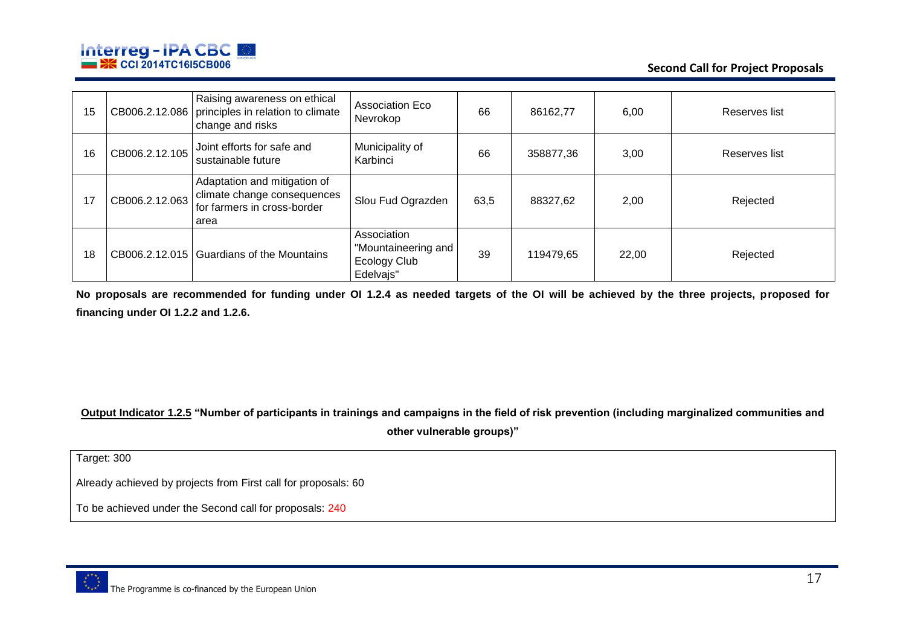

**Second Call for Project Proposals**

| 15 |                | Raising awareness on ethical<br>CB006.2.12.086   principles in relation to climate<br>change and risks | <b>Association Eco</b><br>Nevrokop                              | 66   | 86162,77  | 6,00  | Reserves list |
|----|----------------|--------------------------------------------------------------------------------------------------------|-----------------------------------------------------------------|------|-----------|-------|---------------|
| 16 | CB006.2.12.105 | Joint efforts for safe and<br>sustainable future                                                       | Municipality of<br>Karbinci                                     | 66   | 358877,36 | 3,00  | Reserves list |
| 17 | CB006.2.12.063 | Adaptation and mitigation of<br>climate change consequences<br>for farmers in cross-border<br>area     | Slou Fud Ograzden                                               | 63,5 | 88327,62  | 2,00  | Rejected      |
| 18 |                | CB006.2.12.015 Guardians of the Mountains                                                              | Association<br>"Mountaineering and<br>Ecology Club<br>Edelvajs" | 39   | 119479,65 | 22,00 | Rejected      |

**No proposals are recommended for funding under OI 1.2.4 as needed targets of the OI will be achieved by the three projects, proposed for financing under OI 1.2.2 and 1.2.6.**

**Output Indicator 1.2.5 "Number of participants in trainings and campaigns in the field of risk prevention (including marginalized communities and** 

**other vulnerable groups)"**

Target: 300

Already achieved by projects from First call for proposals: 60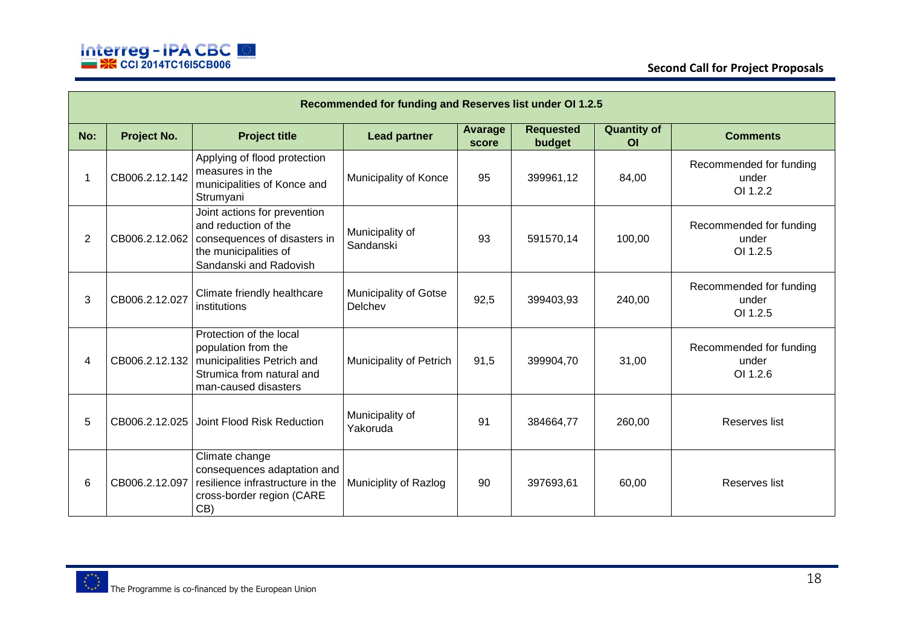

|                | Recommended for funding and Reserves list under OI 1.2.5 |                                                                                                                                         |                                         |                         |                            |                                      |                                              |  |  |  |  |
|----------------|----------------------------------------------------------|-----------------------------------------------------------------------------------------------------------------------------------------|-----------------------------------------|-------------------------|----------------------------|--------------------------------------|----------------------------------------------|--|--|--|--|
| No:            | Project No.                                              | <b>Project title</b>                                                                                                                    | <b>Lead partner</b>                     | <b>Avarage</b><br>score | <b>Requested</b><br>budget | <b>Quantity of</b><br>O <sub>l</sub> | <b>Comments</b>                              |  |  |  |  |
|                | CB006.2.12.142                                           | Applying of flood protection<br>measures in the<br>municipalities of Konce and<br>Strumyani                                             | Municipality of Konce                   | 95                      | 399961,12                  | 84,00                                | Recommended for funding<br>under<br>OI 1.2.2 |  |  |  |  |
| $\overline{2}$ | CB006.2.12.062                                           | Joint actions for prevention<br>and reduction of the<br>consequences of disasters in<br>the municipalities of<br>Sandanski and Radovish | Municipality of<br>Sandanski            | 93                      | 591570,14                  | 100,00                               | Recommended for funding<br>under<br>OI 1.2.5 |  |  |  |  |
| 3              | CB006.2.12.027                                           | Climate friendly healthcare<br>institutions                                                                                             | <b>Municipality of Gotse</b><br>Delchev | 92,5                    | 399403,93                  | 240,00                               | Recommended for funding<br>under<br>OI 1.2.5 |  |  |  |  |
| 4              | CB006.2.12.132                                           | Protection of the local<br>population from the<br>municipalities Petrich and<br>Strumica from natural and<br>man-caused disasters       | Municipality of Petrich                 | 91,5                    | 399904,70                  | 31,00                                | Recommended for funding<br>under<br>OI 1.2.6 |  |  |  |  |
| 5              |                                                          | CB006.2.12.025 Joint Flood Risk Reduction                                                                                               | Municipality of<br>Yakoruda             | 91                      | 384664,77                  | 260,00                               | Reserves list                                |  |  |  |  |
| 6              | CB006.2.12.097                                           | Climate change<br>consequences adaptation and<br>resilience infrastructure in the<br>cross-border region (CARE<br>CB)                   | Municiplity of Razlog                   | 90                      | 397693,61                  | 60,00                                | Reserves list                                |  |  |  |  |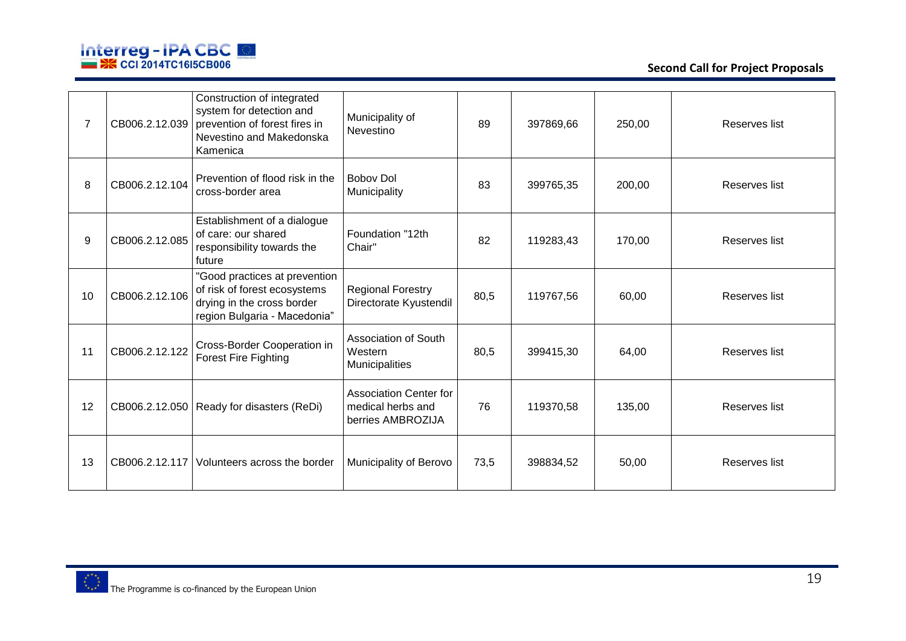

| 7  | CB006.2.12.039 | Construction of integrated<br>system for detection and<br>prevention of forest fires in<br>Nevestino and Makedonska<br>Kamenica | Municipality of<br>Nevestino                                            | 89   | 397869,66 | 250,00 | Reserves list |
|----|----------------|---------------------------------------------------------------------------------------------------------------------------------|-------------------------------------------------------------------------|------|-----------|--------|---------------|
| 8  | CB006.2.12.104 | Prevention of flood risk in the<br>cross-border area                                                                            | <b>Bobov Dol</b><br>Municipality                                        | 83   | 399765,35 | 200,00 | Reserves list |
| 9  | CB006.2.12.085 | Establishment of a dialogue<br>of care: our shared<br>responsibility towards the<br>future                                      | Foundation "12th<br>Chair"                                              | 82   | 119283,43 | 170,00 | Reserves list |
| 10 | CB006.2.12.106 | "Good practices at prevention<br>of risk of forest ecosystems<br>drying in the cross border<br>region Bulgaria - Macedonia"     | <b>Regional Forestry</b><br>Directorate Kyustendil                      | 80,5 | 119767,56 | 60,00  | Reserves list |
| 11 | CB006.2.12.122 | Cross-Border Cooperation in<br><b>Forest Fire Fighting</b>                                                                      | <b>Association of South</b><br>Western<br>Municipalities                | 80,5 | 399415,30 | 64,00  | Reserves list |
| 12 |                | CB006.2.12.050   Ready for disasters (ReDi)                                                                                     | <b>Association Center for</b><br>medical herbs and<br>berries AMBROZIJA | 76   | 119370,58 | 135,00 | Reserves list |
| 13 | CB006.2.12.117 | Volunteers across the border                                                                                                    | Municipality of Berovo                                                  | 73,5 | 398834,52 | 50,00  | Reserves list |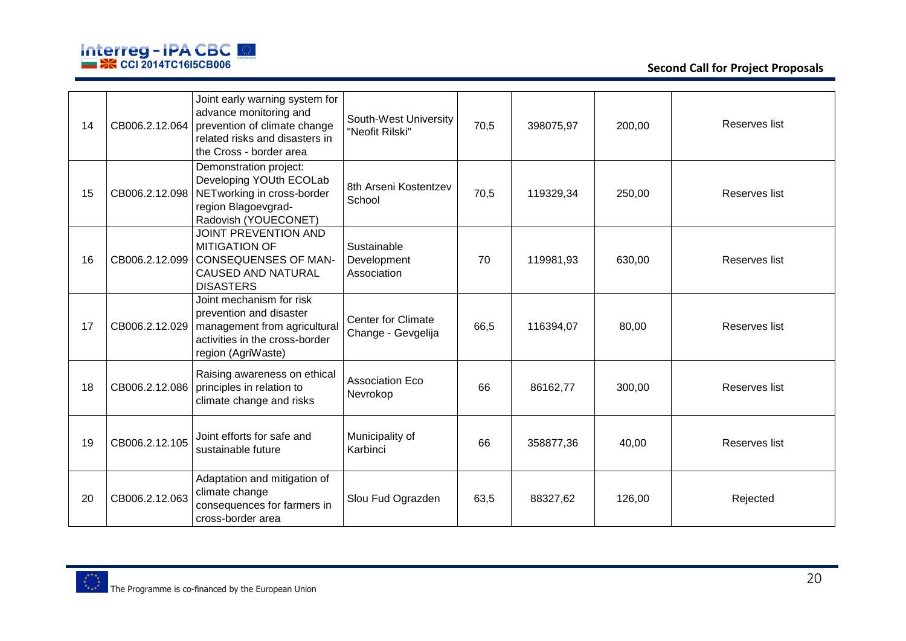

| 14 | CB006.2.12.064 | Joint early warning system for<br>advance monitoring and<br>prevention of climate change<br>related risks and disasters in<br>the Cross - border area | South-West University<br>"Neofit Rilski"        | 70,5 | 398075,97 | 200,00 | Reserves list |
|----|----------------|-------------------------------------------------------------------------------------------------------------------------------------------------------|-------------------------------------------------|------|-----------|--------|---------------|
| 15 | CB006.2.12.098 | Demonstration project:<br>Developing YOUth ECOLab<br>NETworking in cross-border<br>region Blagoevgrad-<br>Radovish (YOUECONET)                        | 8th Arseni Kostentzev<br>School                 | 70,5 | 119329,34 | 250,00 | Reserves list |
| 16 | CB006.2.12.099 | <b>JOINT PREVENTION AND</b><br><b>MITIGATION OF</b><br><b>CONSEQUENSES OF MAN-</b><br><b>CAUSED AND NATURAL</b><br><b>DISASTERS</b>                   | Sustainable<br>Development<br>Association       | 70   | 119981,93 | 630,00 | Reserves list |
| 17 | CB006.2.12.029 | Joint mechanism for risk<br>prevention and disaster<br>management from agricultural<br>activities in the cross-border<br>region (AgriWaste)           | <b>Center for Climate</b><br>Change - Gevgelija | 66,5 | 116394,07 | 80,00  | Reserves list |
| 18 | CB006.2.12.086 | Raising awareness on ethical<br>principles in relation to<br>climate change and risks                                                                 | <b>Association Eco</b><br>Nevrokop              | 66   | 86162,77  | 300,00 | Reserves list |
| 19 | CB006.2.12.105 | Joint efforts for safe and<br>sustainable future                                                                                                      | Municipality of<br>Karbinci                     | 66   | 358877,36 | 40,00  | Reserves list |
| 20 | CB006.2.12.063 | Adaptation and mitigation of<br>climate change<br>consequences for farmers in<br>cross-border area                                                    | Slou Fud Ograzden                               | 63,5 | 88327,62  | 126,00 | Rejected      |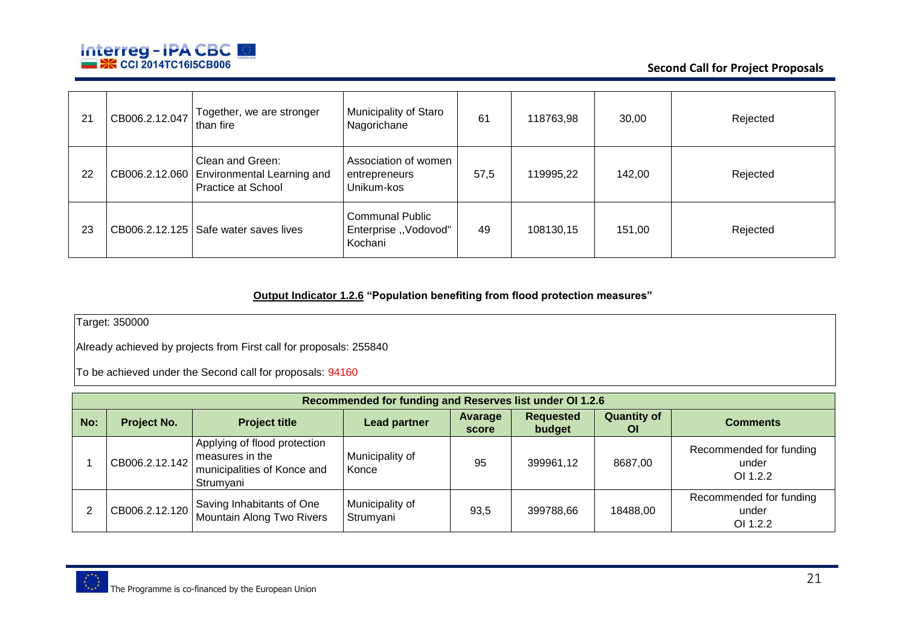

| 21 | CB006.2.12.047 | Together, we are stronger<br>than fire                                                | Municipality of Staro<br>Nagorichane                      | 61   | 118763,98 | 30,00  | Rejected |
|----|----------------|---------------------------------------------------------------------------------------|-----------------------------------------------------------|------|-----------|--------|----------|
| 22 |                | Clean and Green:<br>CB006.2.12.060   Environmental Learning and<br>Practice at School | Association of women<br>entrepreneurs<br>Unikum-kos       | 57,5 | 119995,22 | 142,00 | Rejected |
| 23 |                | CB006.2.12.125   Safe water saves lives                                               | <b>Communal Public</b><br>Enterprise "Vodovod"<br>Kochani | 49   | 108130,15 | 151,00 | Rejected |

### **Output Indicator 1.2.6 "Population benefiting from flood protection measures"**

Target: 350000

Already achieved by projects from First call for proposals: 255840

|     | Recommended for funding and Reserves list under OI 1.2.6 |                                                                                             |                              |                  |                            |                                 |                                              |  |  |
|-----|----------------------------------------------------------|---------------------------------------------------------------------------------------------|------------------------------|------------------|----------------------------|---------------------------------|----------------------------------------------|--|--|
| No: | Project No.                                              | <b>Project title</b>                                                                        | <b>Lead partner</b>          | Avarage<br>score | <b>Requested</b><br>budget | <b>Quantity of</b><br><b>OI</b> | <b>Comments</b>                              |  |  |
|     | CB006.2.12.142                                           | Applying of flood protection<br>measures in the<br>municipalities of Konce and<br>Strumyani | Municipality of<br>Konce     | 95               | 399961,12                  | 8687,00                         | Recommended for funding<br>under<br>OI 1.2.2 |  |  |
|     | CB006.2.12.120                                           | Saving Inhabitants of One<br>Mountain Along Two Rivers                                      | Municipality of<br>Strumyani | 93,5             | 399788.66                  | 18488,00                        | Recommended for funding<br>under<br>OI 1.2.2 |  |  |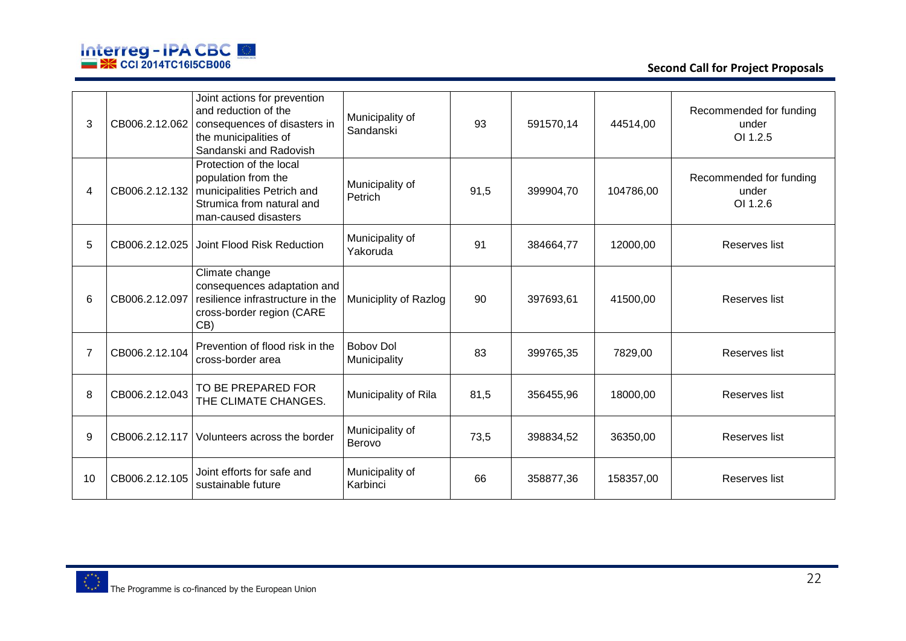

| 3  | CB006.2.12.062 | Joint actions for prevention<br>and reduction of the<br>consequences of disasters in<br>the municipalities of<br>Sandanski and Radovish            | Municipality of<br>Sandanski     | 93   | 591570.14 | 44514,00  | Recommended for funding<br>under<br>OI 1.2.5 |
|----|----------------|----------------------------------------------------------------------------------------------------------------------------------------------------|----------------------------------|------|-----------|-----------|----------------------------------------------|
| 4  |                | Protection of the local<br>population from the<br>CB006.2.12.132   municipalities Petrich and<br>Strumica from natural and<br>man-caused disasters | Municipality of<br>Petrich       | 91,5 | 399904,70 | 104786,00 | Recommended for funding<br>under<br>OI 1.2.6 |
| 5  | CB006.2.12.025 | Joint Flood Risk Reduction                                                                                                                         | Municipality of<br>Yakoruda      | 91   | 384664,77 | 12000,00  | Reserves list                                |
| 6  | CB006.2.12.097 | Climate change<br>consequences adaptation and<br>resilience infrastructure in the<br>cross-border region (CARE<br>CB)                              | Municiplity of Razlog            | 90   | 397693,61 | 41500,00  | Reserves list                                |
| 7  | CB006.2.12.104 | Prevention of flood risk in the<br>cross-border area                                                                                               | <b>Boboy Dol</b><br>Municipality | 83   | 399765,35 | 7829,00   | Reserves list                                |
| 8  | CB006.2.12.043 | TO BE PREPARED FOR<br>THE CLIMATE CHANGES.                                                                                                         | Municipality of Rila             | 81,5 | 356455,96 | 18000,00  | Reserves list                                |
| 9  | CB006.2.12.117 | Volunteers across the border                                                                                                                       | Municipality of<br>Berovo        | 73,5 | 398834,52 | 36350,00  | Reserves list                                |
| 10 | CB006.2.12.105 | Joint efforts for safe and<br>sustainable future                                                                                                   | Municipality of<br>Karbinci      | 66   | 358877,36 | 158357,00 | Reserves list                                |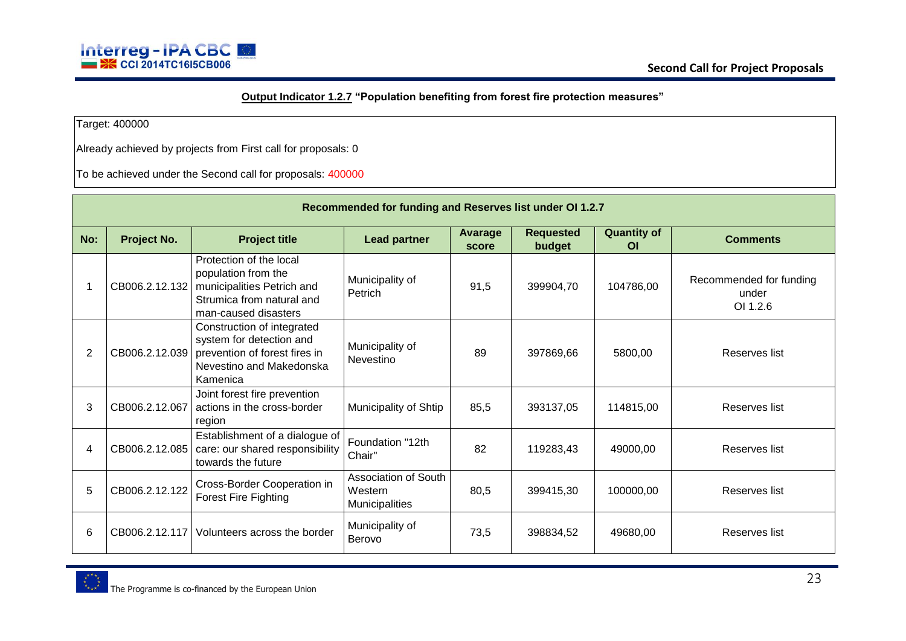## **Output Indicator 1.2.7 "Population benefiting from forest fire protection measures"**

Target: 400000

Already achieved by projects from First call for proposals: 0

| Recommended for funding and Reserves list under OI 1.2.7 |                |                                                                                                                                                    |                                                          |                  |                            |                                      |                                              |  |
|----------------------------------------------------------|----------------|----------------------------------------------------------------------------------------------------------------------------------------------------|----------------------------------------------------------|------------------|----------------------------|--------------------------------------|----------------------------------------------|--|
| No:                                                      | Project No.    | <b>Project title</b>                                                                                                                               | <b>Lead partner</b>                                      | Avarage<br>score | <b>Requested</b><br>budget | <b>Quantity of</b><br>O <sub>l</sub> | <b>Comments</b>                              |  |
|                                                          |                | Protection of the local<br>population from the<br>CB006.2.12.132   municipalities Petrich and<br>Strumica from natural and<br>man-caused disasters | Municipality of<br>Petrich                               | 91,5             | 399904,70                  | 104786,00                            | Recommended for funding<br>under<br>OI 1.2.6 |  |
| $\overline{2}$                                           |                | Construction of integrated<br>system for detection and<br>CB006.2.12.039   prevention of forest fires in<br>Nevestino and Makedonska<br>Kamenica   | Municipality of<br>Nevestino                             | 89               | 397869,66                  | 5800,00                              | Reserves list                                |  |
| 3                                                        | CB006.2.12.067 | Joint forest fire prevention<br>actions in the cross-border<br>region                                                                              | Municipality of Shtip                                    | 85,5             | 393137,05                  | 114815,00                            | Reserves list                                |  |
| 4                                                        |                | Establishment of a dialogue of<br>CB006.2.12.085   care: our shared responsibility<br>towards the future                                           | Foundation "12th<br>Chair"                               | 82               | 119283,43                  | 49000,00                             | Reserves list                                |  |
| 5                                                        | CB006.2.12.122 | Cross-Border Cooperation in<br><b>Forest Fire Fighting</b>                                                                                         | Association of South<br>Western<br><b>Municipalities</b> | 80,5             | 399415,30                  | 100000,00                            | Reserves list                                |  |
| 6                                                        | CB006.2.12.117 | Volunteers across the border                                                                                                                       | Municipality of<br>Berovo                                | 73.5             | 398834,52                  | 49680,00                             | Reserves list                                |  |